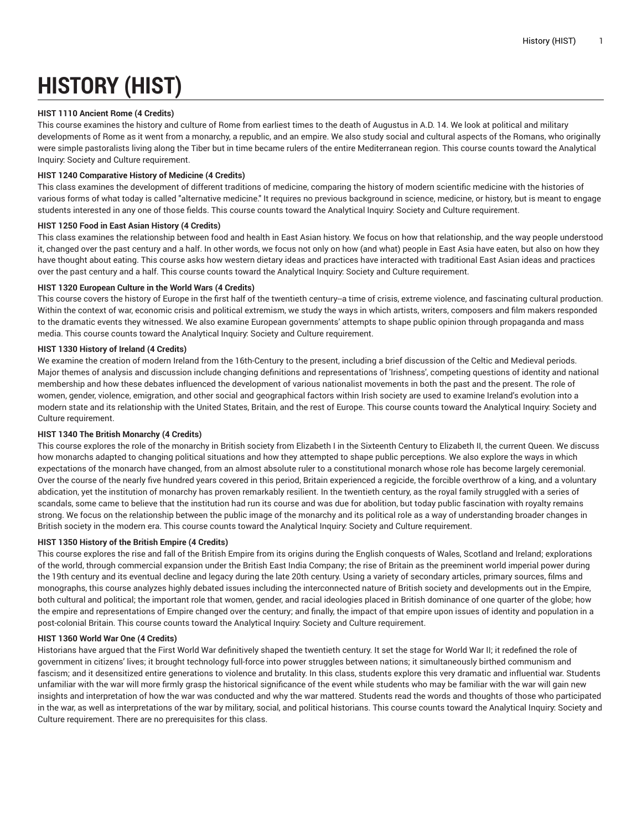# **HISTORY (HIST)**

## **HIST 1110 Ancient Rome (4 Credits)**

This course examines the history and culture of Rome from earliest times to the death of Augustus in A.D. 14. We look at political and military developments of Rome as it went from a monarchy, a republic, and an empire. We also study social and cultural aspects of the Romans, who originally were simple pastoralists living along the Tiber but in time became rulers of the entire Mediterranean region. This course counts toward the Analytical Inquiry: Society and Culture requirement.

## **HIST 1240 Comparative History of Medicine (4 Credits)**

This class examines the development of different traditions of medicine, comparing the history of modern scientific medicine with the histories of various forms of what today is called "alternative medicine." It requires no previous background in science, medicine, or history, but is meant to engage students interested in any one of those fields. This course counts toward the Analytical Inquiry: Society and Culture requirement.

## **HIST 1250 Food in East Asian History (4 Credits)**

This class examines the relationship between food and health in East Asian history. We focus on how that relationship, and the way people understood it, changed over the past century and a half. In other words, we focus not only on how (and what) people in East Asia have eaten, but also on how they have thought about eating. This course asks how western dietary ideas and practices have interacted with traditional East Asian ideas and practices over the past century and a half. This course counts toward the Analytical Inquiry: Society and Culture requirement.

## **HIST 1320 European Culture in the World Wars (4 Credits)**

This course covers the history of Europe in the first half of the twentieth century-a time of crisis, extreme violence, and fascinating cultural production. Within the context of war, economic crisis and political extremism, we study the ways in which artists, writers, composers and film makers responded to the dramatic events they witnessed. We also examine European governments' attempts to shape public opinion through propaganda and mass media. This course counts toward the Analytical Inquiry: Society and Culture requirement.

## **HIST 1330 History of Ireland (4 Credits)**

We examine the creation of modern Ireland from the 16th-Century to the present, including a brief discussion of the Celtic and Medieval periods. Major themes of analysis and discussion include changing definitions and representations of 'Irishness', competing questions of identity and national membership and how these debates influenced the development of various nationalist movements in both the past and the present. The role of women, gender, violence, emigration, and other social and geographical factors within Irish society are used to examine Ireland's evolution into a modern state and its relationship with the United States, Britain, and the rest of Europe. This course counts toward the Analytical Inquiry: Society and Culture requirement.

#### **HIST 1340 The British Monarchy (4 Credits)**

This course explores the role of the monarchy in British society from Elizabeth I in the Sixteenth Century to Elizabeth II, the current Queen. We discuss how monarchs adapted to changing political situations and how they attempted to shape public perceptions. We also explore the ways in which expectations of the monarch have changed, from an almost absolute ruler to a constitutional monarch whose role has become largely ceremonial. Over the course of the nearly five hundred years covered in this period, Britain experienced a regicide, the forcible overthrow of a king, and a voluntary abdication, yet the institution of monarchy has proven remarkably resilient. In the twentieth century, as the royal family struggled with a series of scandals, some came to believe that the institution had run its course and was due for abolition, but today public fascination with royalty remains strong. We focus on the relationship between the public image of the monarchy and its political role as a way of understanding broader changes in British society in the modern era. This course counts toward the Analytical Inquiry: Society and Culture requirement.

## **HIST 1350 History of the British Empire (4 Credits)**

This course explores the rise and fall of the British Empire from its origins during the English conquests of Wales, Scotland and Ireland; explorations of the world, through commercial expansion under the British East India Company; the rise of Britain as the preeminent world imperial power during the 19th century and its eventual decline and legacy during the late 20th century. Using a variety of secondary articles, primary sources, films and monographs, this course analyzes highly debated issues including the interconnected nature of British society and developments out in the Empire, both cultural and political; the important role that women, gender, and racial ideologies placed in British dominance of one quarter of the globe; how the empire and representations of Empire changed over the century; and finally, the impact of that empire upon issues of identity and population in a post-colonial Britain. This course counts toward the Analytical Inquiry: Society and Culture requirement.

#### **HIST 1360 World War One (4 Credits)**

Historians have argued that the First World War definitively shaped the twentieth century. It set the stage for World War II; it redefined the role of government in citizens' lives; it brought technology full-force into power struggles between nations; it simultaneously birthed communism and fascism; and it desensitized entire generations to violence and brutality. In this class, students explore this very dramatic and influential war. Students unfamiliar with the war will more firmly grasp the historical significance of the event while students who may be familiar with the war will gain new insights and interpretation of how the war was conducted and why the war mattered. Students read the words and thoughts of those who participated in the war, as well as interpretations of the war by military, social, and political historians. This course counts toward the Analytical Inquiry: Society and Culture requirement. There are no prerequisites for this class.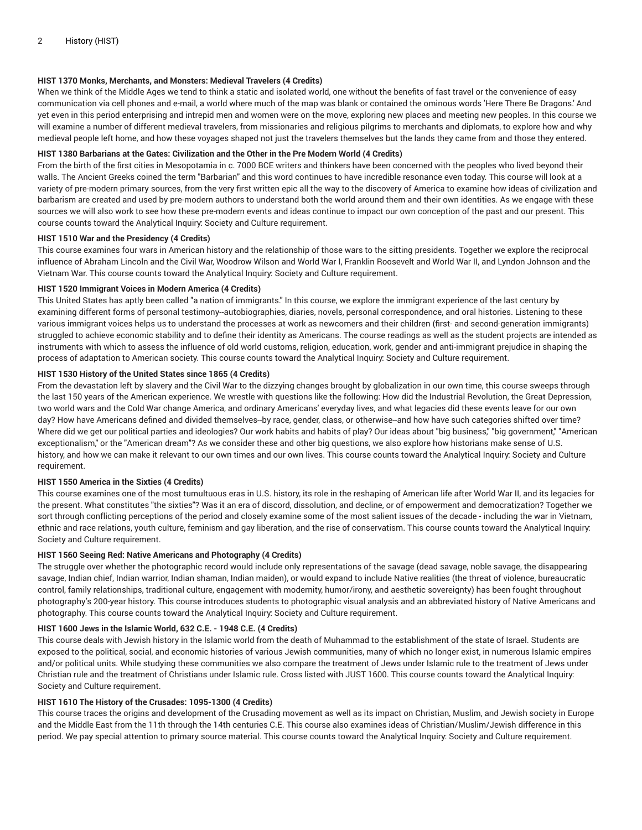## **HIST 1370 Monks, Merchants, and Monsters: Medieval Travelers (4 Credits)**

When we think of the Middle Ages we tend to think a static and isolated world, one without the benefits of fast travel or the convenience of easy communication via cell phones and e-mail, a world where much of the map was blank or contained the ominous words 'Here There Be Dragons.' And yet even in this period enterprising and intrepid men and women were on the move, exploring new places and meeting new peoples. In this course we will examine a number of different medieval travelers, from missionaries and religious pilgrims to merchants and diplomats, to explore how and why medieval people left home, and how these voyages shaped not just the travelers themselves but the lands they came from and those they entered.

## **HIST 1380 Barbarians at the Gates: Civilization and the Other in the Pre Modern World (4 Credits)**

From the birth of the first cities in Mesopotamia in c. 7000 BCE writers and thinkers have been concerned with the peoples who lived beyond their walls. The Ancient Greeks coined the term "Barbarian" and this word continues to have incredible resonance even today. This course will look at a variety of pre-modern primary sources, from the very first written epic all the way to the discovery of America to examine how ideas of civilization and barbarism are created and used by pre-modern authors to understand both the world around them and their own identities. As we engage with these sources we will also work to see how these pre-modern events and ideas continue to impact our own conception of the past and our present. This course counts toward the Analytical Inquiry: Society and Culture requirement.

## **HIST 1510 War and the Presidency (4 Credits)**

This course examines four wars in American history and the relationship of those wars to the sitting presidents. Together we explore the reciprocal influence of Abraham Lincoln and the Civil War, Woodrow Wilson and World War I, Franklin Roosevelt and World War II, and Lyndon Johnson and the Vietnam War. This course counts toward the Analytical Inquiry: Society and Culture requirement.

## **HIST 1520 Immigrant Voices in Modern America (4 Credits)**

This United States has aptly been called "a nation of immigrants." In this course, we explore the immigrant experience of the last century by examining different forms of personal testimony--autobiographies, diaries, novels, personal correspondence, and oral histories. Listening to these various immigrant voices helps us to understand the processes at work as newcomers and their children (first- and second-generation immigrants) struggled to achieve economic stability and to define their identity as Americans. The course readings as well as the student projects are intended as instruments with which to assess the influence of old world customs, religion, education, work, gender and anti-immigrant prejudice in shaping the process of adaptation to American society. This course counts toward the Analytical Inquiry: Society and Culture requirement.

## **HIST 1530 History of the United States since 1865 (4 Credits)**

From the devastation left by slavery and the Civil War to the dizzying changes brought by globalization in our own time, this course sweeps through the last 150 years of the American experience. We wrestle with questions like the following: How did the Industrial Revolution, the Great Depression, two world wars and the Cold War change America, and ordinary Americans' everyday lives, and what legacies did these events leave for our own day? How have Americans defined and divided themselves-by race, gender, class, or otherwise--and how have such categories shifted over time? Where did we get our political parties and ideologies? Our work habits and habits of play? Our ideas about "big business," "big government," "American exceptionalism," or the "American dream"? As we consider these and other big questions, we also explore how historians make sense of U.S. history, and how we can make it relevant to our own times and our own lives. This course counts toward the Analytical Inquiry: Society and Culture requirement.

## **HIST 1550 America in the Sixties (4 Credits)**

This course examines one of the most tumultuous eras in U.S. history, its role in the reshaping of American life after World War II, and its legacies for the present. What constitutes "the sixties"? Was it an era of discord, dissolution, and decline, or of empowerment and democratization? Together we sort through conflicting perceptions of the period and closely examine some of the most salient issues of the decade - including the war in Vietnam, ethnic and race relations, youth culture, feminism and gay liberation, and the rise of conservatism. This course counts toward the Analytical Inquiry: Society and Culture requirement.

## **HIST 1560 Seeing Red: Native Americans and Photography (4 Credits)**

The struggle over whether the photographic record would include only representations of the savage (dead savage, noble savage, the disappearing savage, Indian chief, Indian warrior, Indian shaman, Indian maiden), or would expand to include Native realities (the threat of violence, bureaucratic control, family relationships, traditional culture, engagement with modernity, humor/irony, and aesthetic sovereignty) has been fought throughout photography's 200-year history. This course introduces students to photographic visual analysis and an abbreviated history of Native Americans and photography. This course counts toward the Analytical Inquiry: Society and Culture requirement.

## **HIST 1600 Jews in the Islamic World, 632 C.E. - 1948 C.E. (4 Credits)**

This course deals with Jewish history in the Islamic world from the death of Muhammad to the establishment of the state of Israel. Students are exposed to the political, social, and economic histories of various Jewish communities, many of which no longer exist, in numerous Islamic empires and/or political units. While studying these communities we also compare the treatment of Jews under Islamic rule to the treatment of Jews under Christian rule and the treatment of Christians under Islamic rule. Cross listed with JUST 1600. This course counts toward the Analytical Inquiry: Society and Culture requirement.

## **HIST 1610 The History of the Crusades: 1095-1300 (4 Credits)**

This course traces the origins and development of the Crusading movement as well as its impact on Christian, Muslim, and Jewish society in Europe and the Middle East from the 11th through the 14th centuries C.E. This course also examines ideas of Christian/Muslim/Jewish difference in this period. We pay special attention to primary source material. This course counts toward the Analytical Inquiry: Society and Culture requirement.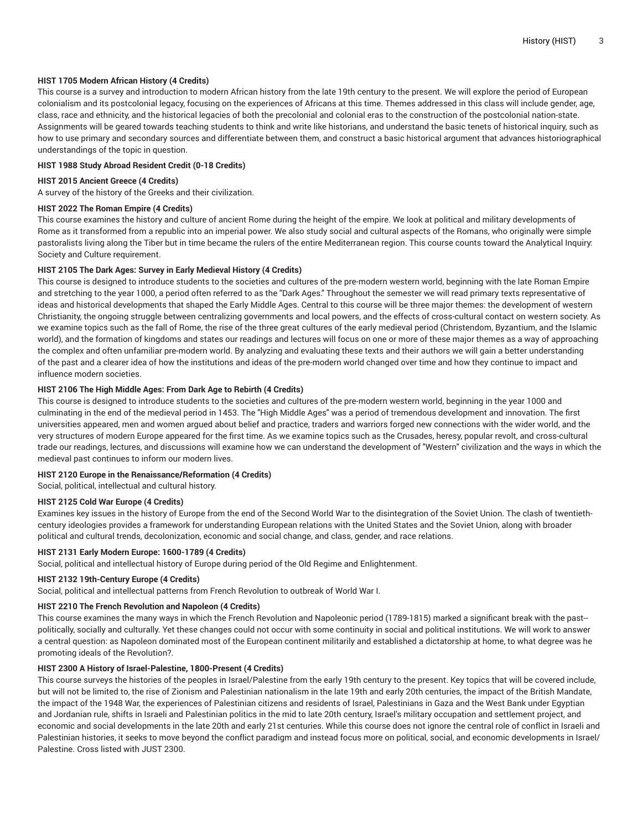## **HIST 1705 Modern African History (4 Credits)**

This course is a survey and introduction to modern African history from the late 19th century to the present. We will explore the period of European colonialism and its postcolonial legacy, focusing on the experiences of Africans at this time. Themes addressed in this class will include gender, age, class, race and ethnicity, and the historical legacies of both the precolonial and colonial eras to the construction of the postcolonial nation-state. Assignments will be geared towards teaching students to think and write like historians, and understand the basic tenets of historical inquiry, such as how to use primary and secondary sources and differentiate between them, and construct a basic historical argument that advances historiographical understandings of the topic in question.

## **HIST 1988 Study Abroad Resident Credit (0-18 Credits)**

## **HIST 2015 Ancient Greece (4 Credits)**

A survey of the history of the Greeks and their civilization.

## **HIST 2022 The Roman Empire (4 Credits)**

This course examines the history and culture of ancient Rome during the height of the empire. We look at political and military developments of Rome as it transformed from a republic into an imperial power. We also study social and cultural aspects of the Romans, who originally were simple pastoralists living along the Tiber but in time became the rulers of the entire Mediterranean region. This course counts toward the Analytical Inquiry: Society and Culture requirement.

## **HIST 2105 The Dark Ages: Survey in Early Medieval History (4 Credits)**

This course is designed to introduce students to the societies and cultures of the pre-modern western world, beginning with the late Roman Empire and stretching to the year 1000, a period often referred to as the "Dark Ages." Throughout the semester we will read primary texts representative of ideas and historical developments that shaped the Early Middle Ages. Central to this course will be three major themes: the development of western Christianity, the ongoing struggle between centralizing governments and local powers, and the effects of cross-cultural contact on western society. As we examine topics such as the fall of Rome, the rise of the three great cultures of the early medieval period (Christendom, Byzantium, and the Islamic world), and the formation of kingdoms and states our readings and lectures will focus on one or more of these major themes as a way of approaching the complex and often unfamiliar pre-modern world. By analyzing and evaluating these texts and their authors we will gain a better understanding of the past and a clearer idea of how the institutions and ideas of the pre-modern world changed over time and how they continue to impact and influence modern societies.

## **HIST 2106 The High Middle Ages: From Dark Age to Rebirth (4 Credits)**

This course is designed to introduce students to the societies and cultures of the pre-modern western world, beginning in the year 1000 and culminating in the end of the medieval period in 1453. The "High Middle Ages" was a period of tremendous development and innovation. The first universities appeared, men and women argued about belief and practice, traders and warriors forged new connections with the wider world, and the very structures of modern Europe appeared for the first time. As we examine topics such as the Crusades, heresy, popular revolt, and cross-cultural trade our readings, lectures, and discussions will examine how we can understand the development of "Western" civilization and the ways in which the medieval past continues to inform our modern lives.

## **HIST 2120 Europe in the Renaissance/Reformation (4 Credits)**

Social, political, intellectual and cultural history.

## **HIST 2125 Cold War Europe (4 Credits)**

Examines key issues in the history of Europe from the end of the Second World War to the disintegration of the Soviet Union. The clash of twentiethcentury ideologies provides a framework for understanding European relations with the United States and the Soviet Union, along with broader political and cultural trends, decolonization, economic and social change, and class, gender, and race relations.

#### **HIST 2131 Early Modern Europe: 1600-1789 (4 Credits)**

Social, political and intellectual history of Europe during period of the Old Regime and Enlightenment.

#### **HIST 2132 19th-Century Europe (4 Credits)**

Social, political and intellectual patterns from French Revolution to outbreak of World War I.

# **HIST 2210 The French Revolution and Napoleon (4 Credits)**

This course examines the many ways in which the French Revolution and Napoleonic period (1789-1815) marked a significant break with the past- politically, socially and culturally. Yet these changes could not occur with some continuity in social and political institutions. We will work to answer a central question: as Napoleon dominated most of the European continent militarily and established a dictatorship at home, to what degree was he promoting ideals of the Revolution?.

## **HIST 2300 A History of Israel-Palestine, 1800-Present (4 Credits)**

This course surveys the histories of the peoples in Israel/Palestine from the early 19th century to the present. Key topics that will be covered include, but will not be limited to, the rise of Zionism and Palestinian nationalism in the late 19th and early 20th centuries, the impact of the British Mandate, the impact of the 1948 War, the experiences of Palestinian citizens and residents of Israel, Palestinians in Gaza and the West Bank under Egyptian and Jordanian rule, shifts in Israeli and Palestinian politics in the mid to late 20th century, Israel's military occupation and settlement project, and economic and social developments in the late 20th and early 21st centuries. While this course does not ignore the central role of conflict in Israeli and Palestinian histories, it seeks to move beyond the conflict paradigm and instead focus more on political, social, and economic developments in Israel/ Palestine. Cross listed with JUST 2300.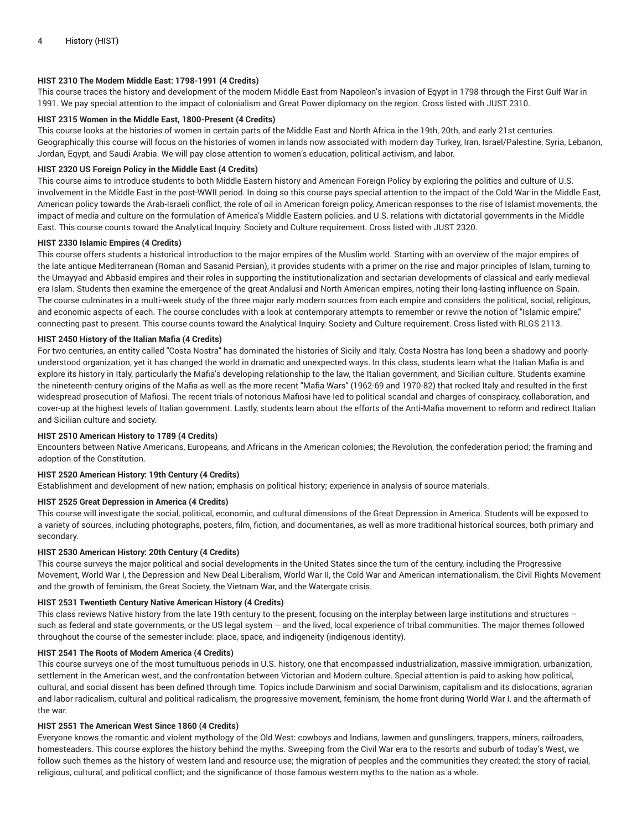## **HIST 2310 The Modern Middle East: 1798-1991 (4 Credits)**

This course traces the history and development of the modern Middle East from Napoleon's invasion of Egypt in 1798 through the First Gulf War in 1991. We pay special attention to the impact of colonialism and Great Power diplomacy on the region. Cross listed with JUST 2310.

# **HIST 2315 Women in the Middle East, 1800-Present (4 Credits)**

This course looks at the histories of women in certain parts of the Middle East and North Africa in the 19th, 20th, and early 21st centuries. Geographically this course will focus on the histories of women in lands now associated with modern day Turkey, Iran, Israel/Palestine, Syria, Lebanon, Jordan, Egypt, and Saudi Arabia. We will pay close attention to women's education, political activism, and labor.

# **HIST 2320 US Foreign Policy in the Middle East (4 Credits)**

This course aims to introduce students to both Middle Eastern history and American Foreign Policy by exploring the politics and culture of U.S. involvement in the Middle East in the post-WWII period. In doing so this course pays special attention to the impact of the Cold War in the Middle East, American policy towards the Arab-Israeli conflict, the role of oil in American foreign policy, American responses to the rise of Islamist movements, the impact of media and culture on the formulation of America's Middle Eastern policies, and U.S. relations with dictatorial governments in the Middle East. This course counts toward the Analytical Inquiry: Society and Culture requirement. Cross listed with JUST 2320.

## **HIST 2330 Islamic Empires (4 Credits)**

This course offers students a historical introduction to the major empires of the Muslim world. Starting with an overview of the major empires of the late antique Mediterranean (Roman and Sasanid Persian), it provides students with a primer on the rise and major principles of Islam, turning to the Umayyad and Abbasid empires and their roles in supporting the institutionalization and sectarian developments of classical and early-medieval era Islam. Students then examine the emergence of the great Andalusi and North American empires, noting their long-lasting influence on Spain. The course culminates in a multi-week study of the three major early modern sources from each empire and considers the political, social, religious, and economic aspects of each. The course concludes with a look at contemporary attempts to remember or revive the notion of "Islamic empire," connecting past to present. This course counts toward the Analytical Inquiry: Society and Culture requirement. Cross listed with RLGS 2113.

## **HIST 2450 History of the Italian Mafia (4 Credits)**

For two centuries, an entity called "Costa Nostra" has dominated the histories of Sicily and Italy. Costa Nostra has long been a shadowy and poorlyunderstood organization, yet it has changed the world in dramatic and unexpected ways. In this class, students learn what the Italian Mafia is and explore its history in Italy, particularly the Mafia's developing relationship to the law, the Italian government, and Sicilian culture. Students examine the nineteenth-century origins of the Mafia as well as the more recent "Mafia Wars" (1962-69 and 1970-82) that rocked Italy and resulted in the first widespread prosecution of Mafiosi. The recent trials of notorious Mafiosi have led to political scandal and charges of conspiracy, collaboration, and cover-up at the highest levels of Italian government. Lastly, students learn about the efforts of the Anti-Mafia movement to reform and redirect Italian and Sicilian culture and society.

## **HIST 2510 American History to 1789 (4 Credits)**

Encounters between Native Americans, Europeans, and Africans in the American colonies; the Revolution, the confederation period; the framing and adoption of the Constitution.

## **HIST 2520 American History: 19th Century (4 Credits)**

Establishment and development of new nation; emphasis on political history; experience in analysis of source materials.

## **HIST 2525 Great Depression in America (4 Credits)**

This course will investigate the social, political, economic, and cultural dimensions of the Great Depression in America. Students will be exposed to a variety of sources, including photographs, posters, film, fiction, and documentaries, as well as more traditional historical sources, both primary and secondary.

#### **HIST 2530 American History: 20th Century (4 Credits)**

This course surveys the major political and social developments in the United States since the turn of the century, including the Progressive Movement, World War I, the Depression and New Deal Liberalism, World War II, the Cold War and American internationalism, the Civil Rights Movement and the growth of feminism, the Great Society, the Vietnam War, and the Watergate crisis.

#### **HIST 2531 Twentieth Century Native American History (4 Credits)**

This class reviews Native history from the late 19th century to the present, focusing on the interplay between large institutions and structures – such as federal and state governments, or the US legal system – and the lived, local experience of tribal communities. The major themes followed throughout the course of the semester include: place, space, and indigeneity (indigenous identity).

#### **HIST 2541 The Roots of Modern America (4 Credits)**

This course surveys one of the most tumultuous periods in U.S. history, one that encompassed industrialization, massive immigration, urbanization, settlement in the American west, and the confrontation between Victorian and Modern culture. Special attention is paid to asking how political, cultural, and social dissent has been defined through time. Topics include Darwinism and social Darwinism, capitalism and its dislocations, agrarian and labor radicalism, cultural and political radicalism, the progressive movement, feminism, the home front during World War I, and the aftermath of the war.

## **HIST 2551 The American West Since 1860 (4 Credits)**

Everyone knows the romantic and violent mythology of the Old West: cowboys and Indians, lawmen and gunslingers, trappers, miners, railroaders, homesteaders. This course explores the history behind the myths. Sweeping from the Civil War era to the resorts and suburb of today's West, we follow such themes as the history of western land and resource use; the migration of peoples and the communities they created; the story of racial, religious, cultural, and political conflict; and the significance of those famous western myths to the nation as a whole.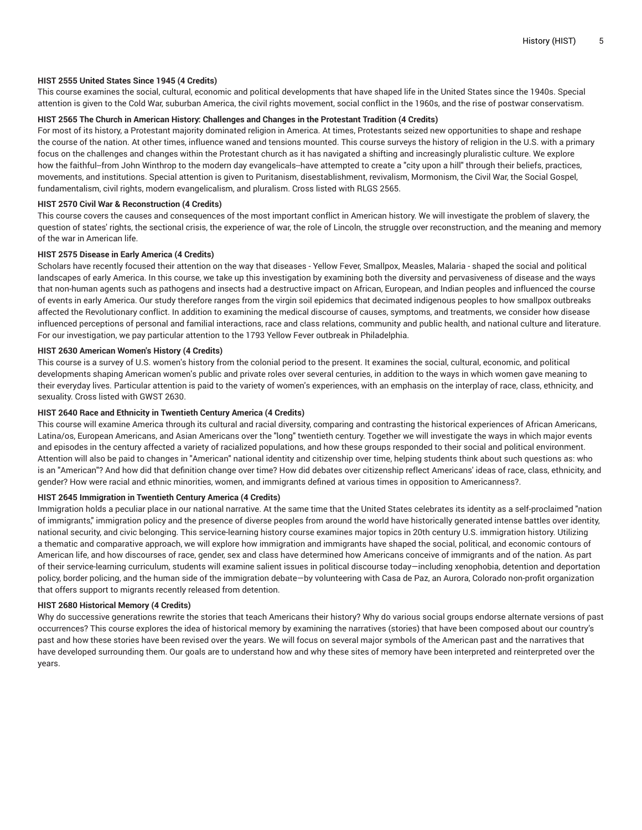## **HIST 2555 United States Since 1945 (4 Credits)**

This course examines the social, cultural, economic and political developments that have shaped life in the United States since the 1940s. Special attention is given to the Cold War, suburban America, the civil rights movement, social conflict in the 1960s, and the rise of postwar conservatism.

## **HIST 2565 The Church in American History: Challenges and Changes in the Protestant Tradition (4 Credits)**

For most of its history, a Protestant majority dominated religion in America. At times, Protestants seized new opportunities to shape and reshape the course of the nation. At other times, influence waned and tensions mounted. This course surveys the history of religion in the U.S. with a primary focus on the challenges and changes within the Protestant church as it has navigated a shifting and increasingly pluralistic culture. We explore how the faithful--from John Winthrop to the modern day evangelicals--have attempted to create a "city upon a hill" through their beliefs, practices, movements, and institutions. Special attention is given to Puritanism, disestablishment, revivalism, Mormonism, the Civil War, the Social Gospel, fundamentalism, civil rights, modern evangelicalism, and pluralism. Cross listed with RLGS 2565.

## **HIST 2570 Civil War & Reconstruction (4 Credits)**

This course covers the causes and consequences of the most important conflict in American history. We will investigate the problem of slavery, the question of states' rights, the sectional crisis, the experience of war, the role of Lincoln, the struggle over reconstruction, and the meaning and memory of the war in American life.

## **HIST 2575 Disease in Early America (4 Credits)**

Scholars have recently focused their attention on the way that diseases - Yellow Fever, Smallpox, Measles, Malaria - shaped the social and political landscapes of early America. In this course, we take up this investigation by examining both the diversity and pervasiveness of disease and the ways that non-human agents such as pathogens and insects had a destructive impact on African, European, and Indian peoples and influenced the course of events in early America. Our study therefore ranges from the virgin soil epidemics that decimated indigenous peoples to how smallpox outbreaks affected the Revolutionary conflict. In addition to examining the medical discourse of causes, symptoms, and treatments, we consider how disease influenced perceptions of personal and familial interactions, race and class relations, community and public health, and national culture and literature. For our investigation, we pay particular attention to the 1793 Yellow Fever outbreak in Philadelphia.

## **HIST 2630 American Women's History (4 Credits)**

This course is a survey of U.S. women's history from the colonial period to the present. It examines the social, cultural, economic, and political developments shaping American women's public and private roles over several centuries, in addition to the ways in which women gave meaning to their everyday lives. Particular attention is paid to the variety of women's experiences, with an emphasis on the interplay of race, class, ethnicity, and sexuality. Cross listed with GWST 2630.

## **HIST 2640 Race and Ethnicity in Twentieth Century America (4 Credits)**

This course will examine America through its cultural and racial diversity, comparing and contrasting the historical experiences of African Americans, Latina/os, European Americans, and Asian Americans over the "long" twentieth century. Together we will investigate the ways in which major events and episodes in the century affected a variety of racialized populations, and how these groups responded to their social and political environment. Attention will also be paid to changes in "American" national identity and citizenship over time, helping students think about such questions as: who is an "American"? And how did that definition change over time? How did debates over citizenship reflect Americans' ideas of race, class, ethnicity, and gender? How were racial and ethnic minorities, women, and immigrants defined at various times in opposition to Americanness?.

## **HIST 2645 Immigration in Twentieth Century America (4 Credits)**

Immigration holds a peculiar place in our national narrative. At the same time that the United States celebrates its identity as a self-proclaimed "nation of immigrants," immigration policy and the presence of diverse peoples from around the world have historically generated intense battles over identity, national security, and civic belonging. This service-learning history course examines major topics in 20th century U.S. immigration history. Utilizing a thematic and comparative approach, we will explore how immigration and immigrants have shaped the social, political, and economic contours of American life, and how discourses of race, gender, sex and class have determined how Americans conceive of immigrants and of the nation. As part of their service-learning curriculum, students will examine salient issues in political discourse today—including xenophobia, detention and deportation policy, border policing, and the human side of the immigration debate—by volunteering with Casa de Paz, an Aurora, Colorado non-profit organization that offers support to migrants recently released from detention.

#### **HIST 2680 Historical Memory (4 Credits)**

Why do successive generations rewrite the stories that teach Americans their history? Why do various social groups endorse alternate versions of past occurrences? This course explores the idea of historical memory by examining the narratives (stories) that have been composed about our country's past and how these stories have been revised over the years. We will focus on several major symbols of the American past and the narratives that have developed surrounding them. Our goals are to understand how and why these sites of memory have been interpreted and reinterpreted over the years.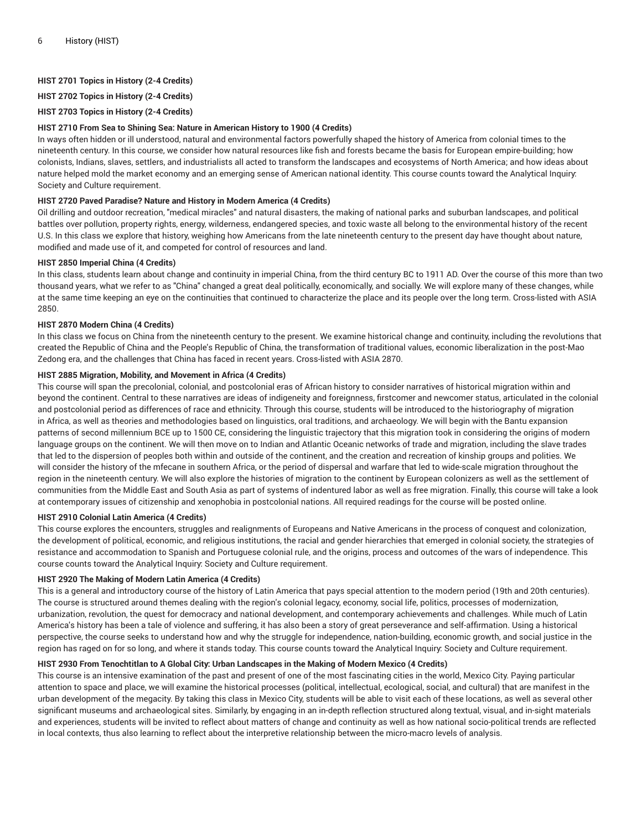# **HIST 2701 Topics in History (2-4 Credits)**

**HIST 2702 Topics in History (2-4 Credits)**

**HIST 2703 Topics in History (2-4 Credits)**

# **HIST 2710 From Sea to Shining Sea: Nature in American History to 1900 (4 Credits)**

In ways often hidden or ill understood, natural and environmental factors powerfully shaped the history of America from colonial times to the nineteenth century. In this course, we consider how natural resources like fish and forests became the basis for European empire-building; how colonists, Indians, slaves, settlers, and industrialists all acted to transform the landscapes and ecosystems of North America; and how ideas about nature helped mold the market economy and an emerging sense of American national identity. This course counts toward the Analytical Inquiry: Society and Culture requirement.

## **HIST 2720 Paved Paradise? Nature and History in Modern America (4 Credits)**

Oil drilling and outdoor recreation, "medical miracles" and natural disasters, the making of national parks and suburban landscapes, and political battles over pollution, property rights, energy, wilderness, endangered species, and toxic waste all belong to the environmental history of the recent U.S. In this class we explore that history, weighing how Americans from the late nineteenth century to the present day have thought about nature, modified and made use of it, and competed for control of resources and land.

## **HIST 2850 Imperial China (4 Credits)**

In this class, students learn about change and continuity in imperial China, from the third century BC to 1911 AD. Over the course of this more than two thousand years, what we refer to as "China" changed a great deal politically, economically, and socially. We will explore many of these changes, while at the same time keeping an eye on the continuities that continued to characterize the place and its people over the long term. Cross-listed with ASIA 2850.

## **HIST 2870 Modern China (4 Credits)**

In this class we focus on China from the nineteenth century to the present. We examine historical change and continuity, including the revolutions that created the Republic of China and the People's Republic of China, the transformation of traditional values, economic liberalization in the post-Mao Zedong era, and the challenges that China has faced in recent years. Cross-listed with ASIA 2870.

## **HIST 2885 Migration, Mobility, and Movement in Africa (4 Credits)**

This course will span the precolonial, colonial, and postcolonial eras of African history to consider narratives of historical migration within and beyond the continent. Central to these narratives are ideas of indigeneity and foreignness, firstcomer and newcomer status, articulated in the colonial and postcolonial period as differences of race and ethnicity. Through this course, students will be introduced to the historiography of migration in Africa, as well as theories and methodologies based on linguistics, oral traditions, and archaeology. We will begin with the Bantu expansion patterns of second millennium BCE up to 1500 CE, considering the linguistic trajectory that this migration took in considering the origins of modern language groups on the continent. We will then move on to Indian and Atlantic Oceanic networks of trade and migration, including the slave trades that led to the dispersion of peoples both within and outside of the continent, and the creation and recreation of kinship groups and polities. We will consider the history of the mfecane in southern Africa, or the period of dispersal and warfare that led to wide-scale migration throughout the region in the nineteenth century. We will also explore the histories of migration to the continent by European colonizers as well as the settlement of communities from the Middle East and South Asia as part of systems of indentured labor as well as free migration. Finally, this course will take a look at contemporary issues of citizenship and xenophobia in postcolonial nations. All required readings for the course will be posted online.

# **HIST 2910 Colonial Latin America (4 Credits)**

This course explores the encounters, struggles and realignments of Europeans and Native Americans in the process of conquest and colonization, the development of political, economic, and religious institutions, the racial and gender hierarchies that emerged in colonial society, the strategies of resistance and accommodation to Spanish and Portuguese colonial rule, and the origins, process and outcomes of the wars of independence. This course counts toward the Analytical Inquiry: Society and Culture requirement.

#### **HIST 2920 The Making of Modern Latin America (4 Credits)**

This is a general and introductory course of the history of Latin America that pays special attention to the modern period (19th and 20th centuries). The course is structured around themes dealing with the region's colonial legacy, economy, social life, politics, processes of modernization, urbanization, revolution, the quest for democracy and national development, and contemporary achievements and challenges. While much of Latin America's history has been a tale of violence and suffering, it has also been a story of great perseverance and self-affirmation. Using a historical perspective, the course seeks to understand how and why the struggle for independence, nation-building, economic growth, and social justice in the region has raged on for so long, and where it stands today. This course counts toward the Analytical Inquiry: Society and Culture requirement.

#### HIST 2930 From Tenochtitlan to A Global City: Urban Landscapes in the Making of Modern Mexico (4 Credits)

This course is an intensive examination of the past and present of one of the most fascinating cities in the world, Mexico City. Paying particular attention to space and place, we will examine the historical processes (political, intellectual, ecological, social, and cultural) that are manifest in the urban development of the megacity. By taking this class in Mexico City, students will be able to visit each of these locations, as well as several other significant museums and archaeological sites. Similarly, by engaging in an in-depth reflection structured along textual, visual, and in-sight materials and experiences, students will be invited to reflect about matters of change and continuity as well as how national socio-political trends are reflected in local contexts, thus also learning to reflect about the interpretive relationship between the micro-macro levels of analysis.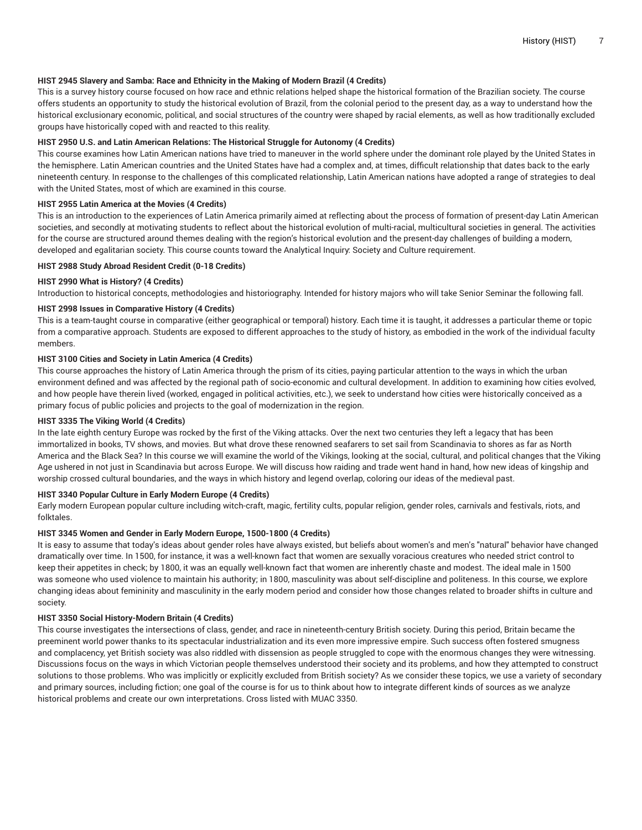# **HIST 2945 Slavery and Samba: Race and Ethnicity in the Making of Modern Brazil (4 Credits)**

This is a survey history course focused on how race and ethnic relations helped shape the historical formation of the Brazilian society. The course offers students an opportunity to study the historical evolution of Brazil, from the colonial period to the present day, as a way to understand how the historical exclusionary economic, political, and social structures of the country were shaped by racial elements, as well as how traditionally excluded groups have historically coped with and reacted to this reality.

## **HIST 2950 U.S. and Latin American Relations: The Historical Struggle for Autonomy (4 Credits)**

This course examines how Latin American nations have tried to maneuver in the world sphere under the dominant role played by the United States in the hemisphere. Latin American countries and the United States have had a complex and, at times, difficult relationship that dates back to the early nineteenth century. In response to the challenges of this complicated relationship, Latin American nations have adopted a range of strategies to deal with the United States, most of which are examined in this course.

#### **HIST 2955 Latin America at the Movies (4 Credits)**

This is an introduction to the experiences of Latin America primarily aimed at reflecting about the process of formation of present-day Latin American societies, and secondly at motivating students to reflect about the historical evolution of multi-racial, multicultural societies in general. The activities for the course are structured around themes dealing with the region's historical evolution and the present-day challenges of building a modern, developed and egalitarian society. This course counts toward the Analytical Inquiry: Society and Culture requirement.

#### **HIST 2988 Study Abroad Resident Credit (0-18 Credits)**

#### **HIST 2990 What is History? (4 Credits)**

Introduction to historical concepts, methodologies and historiography. Intended for history majors who will take Senior Seminar the following fall.

#### **HIST 2998 Issues in Comparative History (4 Credits)**

This is a team-taught course in comparative (either geographical or temporal) history. Each time it is taught, it addresses a particular theme or topic from a comparative approach. Students are exposed to different approaches to the study of history, as embodied in the work of the individual faculty members.

## **HIST 3100 Cities and Society in Latin America (4 Credits)**

This course approaches the history of Latin America through the prism of its cities, paying particular attention to the ways in which the urban environment defined and was affected by the regional path of socio-economic and cultural development. In addition to examining how cities evolved, and how people have therein lived (worked, engaged in political activities, etc.), we seek to understand how cities were historically conceived as a primary focus of public policies and projects to the goal of modernization in the region.

## **HIST 3335 The Viking World (4 Credits)**

In the late eighth century Europe was rocked by the first of the Viking attacks. Over the next two centuries they left a legacy that has been immortalized in books, TV shows, and movies. But what drove these renowned seafarers to set sail from Scandinavia to shores as far as North America and the Black Sea? In this course we will examine the world of the Vikings, looking at the social, cultural, and political changes that the Viking Age ushered in not just in Scandinavia but across Europe. We will discuss how raiding and trade went hand in hand, how new ideas of kingship and worship crossed cultural boundaries, and the ways in which history and legend overlap, coloring our ideas of the medieval past.

#### **HIST 3340 Popular Culture in Early Modern Europe (4 Credits)**

Early modern European popular culture including witch-craft, magic, fertility cults, popular religion, gender roles, carnivals and festivals, riots, and folktales.

#### **HIST 3345 Women and Gender in Early Modern Europe, 1500-1800 (4 Credits)**

It is easy to assume that today's ideas about gender roles have always existed, but beliefs about women's and men's "natural" behavior have changed dramatically over time. In 1500, for instance, it was a well-known fact that women are sexually voracious creatures who needed strict control to keep their appetites in check; by 1800, it was an equally well-known fact that women are inherently chaste and modest. The ideal male in 1500 was someone who used violence to maintain his authority; in 1800, masculinity was about self-discipline and politeness. In this course, we explore changing ideas about femininity and masculinity in the early modern period and consider how those changes related to broader shifts in culture and society.

#### **HIST 3350 Social History-Modern Britain (4 Credits)**

This course investigates the intersections of class, gender, and race in nineteenth-century British society. During this period, Britain became the preeminent world power thanks to its spectacular industrialization and its even more impressive empire. Such success often fostered smugness and complacency, yet British society was also riddled with dissension as people struggled to cope with the enormous changes they were witnessing. Discussions focus on the ways in which Victorian people themselves understood their society and its problems, and how they attempted to construct solutions to those problems. Who was implicitly or explicitly excluded from British society? As we consider these topics, we use a variety of secondary and primary sources, including fiction; one goal of the course is for us to think about how to integrate different kinds of sources as we analyze historical problems and create our own interpretations. Cross listed with MUAC 3350.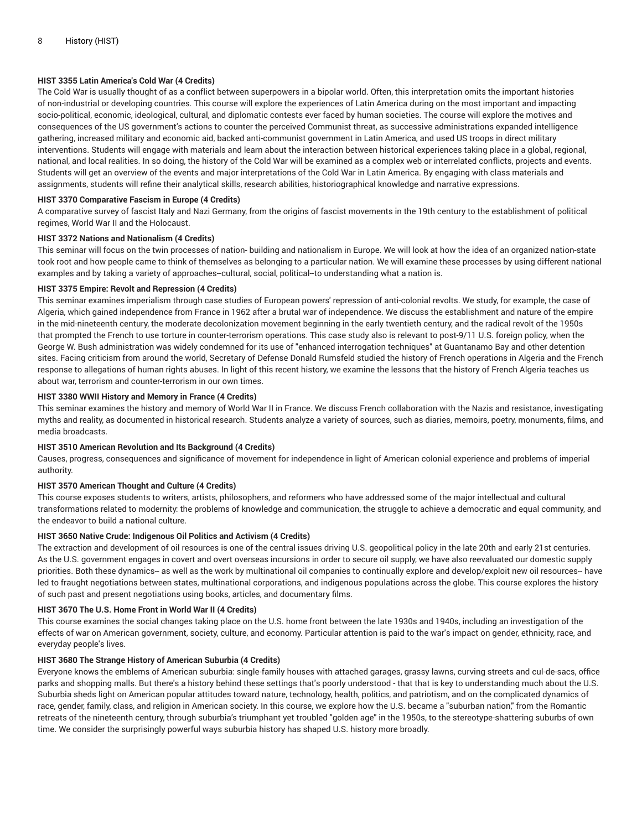## **HIST 3355 Latin America's Cold War (4 Credits)**

The Cold War is usually thought of as a conflict between superpowers in a bipolar world. Often, this interpretation omits the important histories of non-industrial or developing countries. This course will explore the experiences of Latin America during on the most important and impacting socio-political, economic, ideological, cultural, and diplomatic contests ever faced by human societies. The course will explore the motives and consequences of the US government's actions to counter the perceived Communist threat, as successive administrations expanded intelligence gathering, increased military and economic aid, backed anti-communist government in Latin America, and used US troops in direct military interventions. Students will engage with materials and learn about the interaction between historical experiences taking place in a global, regional, national, and local realities. In so doing, the history of the Cold War will be examined as a complex web or interrelated conflicts, projects and events. Students will get an overview of the events and major interpretations of the Cold War in Latin America. By engaging with class materials and assignments, students will refine their analytical skills, research abilities, historiographical knowledge and narrative expressions.

#### **HIST 3370 Comparative Fascism in Europe (4 Credits)**

A comparative survey of fascist Italy and Nazi Germany, from the origins of fascist movements in the 19th century to the establishment of political regimes, World War II and the Holocaust.

#### **HIST 3372 Nations and Nationalism (4 Credits)**

This seminar will focus on the twin processes of nation- building and nationalism in Europe. We will look at how the idea of an organized nation-state took root and how people came to think of themselves as belonging to a particular nation. We will examine these processes by using different national examples and by taking a variety of approaches--cultural, social, political--to understanding what a nation is.

## **HIST 3375 Empire: Revolt and Repression (4 Credits)**

This seminar examines imperialism through case studies of European powers' repression of anti-colonial revolts. We study, for example, the case of Algeria, which gained independence from France in 1962 after a brutal war of independence. We discuss the establishment and nature of the empire in the mid-nineteenth century, the moderate decolonization movement beginning in the early twentieth century, and the radical revolt of the 1950s that prompted the French to use torture in counter-terrorism operations. This case study also is relevant to post-9/11 U.S. foreign policy, when the George W. Bush administration was widely condemned for its use of "enhanced interrogation techniques" at Guantanamo Bay and other detention sites. Facing criticism from around the world, Secretary of Defense Donald Rumsfeld studied the history of French operations in Algeria and the French response to allegations of human rights abuses. In light of this recent history, we examine the lessons that the history of French Algeria teaches us about war, terrorism and counter-terrorism in our own times.

## **HIST 3380 WWII History and Memory in France (4 Credits)**

This seminar examines the history and memory of World War II in France. We discuss French collaboration with the Nazis and resistance, investigating myths and reality, as documented in historical research. Students analyze a variety of sources, such as diaries, memoirs, poetry, monuments, films, and media broadcasts.

## **HIST 3510 American Revolution and Its Background (4 Credits)**

Causes, progress, consequences and significance of movement for independence in light of American colonial experience and problems of imperial authority.

## **HIST 3570 American Thought and Culture (4 Credits)**

This course exposes students to writers, artists, philosophers, and reformers who have addressed some of the major intellectual and cultural transformations related to modernity: the problems of knowledge and communication, the struggle to achieve a democratic and equal community, and the endeavor to build a national culture.

#### **HIST 3650 Native Crude: Indigenous Oil Politics and Activism (4 Credits)**

The extraction and development of oil resources is one of the central issues driving U.S. geopolitical policy in the late 20th and early 21st centuries. As the U.S. government engages in covert and overt overseas incursions in order to secure oil supply, we have also reevaluated our domestic supply priorities. Both these dynamics-- as well as the work by multinational oil companies to continually explore and develop/exploit new oil resources-- have led to fraught negotiations between states, multinational corporations, and indigenous populations across the globe. This course explores the history of such past and present negotiations using books, articles, and documentary films.

## **HIST 3670 The U.S. Home Front in World War II (4 Credits)**

This course examines the social changes taking place on the U.S. home front between the late 1930s and 1940s, including an investigation of the effects of war on American government, society, culture, and economy. Particular attention is paid to the war's impact on gender, ethnicity, race, and everyday people's lives.

## **HIST 3680 The Strange History of American Suburbia (4 Credits)**

Everyone knows the emblems of American suburbia: single-family houses with attached garages, grassy lawns, curving streets and cul-de-sacs, office parks and shopping malls. But there's a history behind these settings that's poorly understood - that that is key to understanding much about the U.S. Suburbia sheds light on American popular attitudes toward nature, technology, health, politics, and patriotism, and on the complicated dynamics of race, gender, family, class, and religion in American society. In this course, we explore how the U.S. became a "suburban nation," from the Romantic retreats of the nineteenth century, through suburbia's triumphant yet troubled "golden age" in the 1950s, to the stereotype-shattering suburbs of own time. We consider the surprisingly powerful ways suburbia history has shaped U.S. history more broadly.